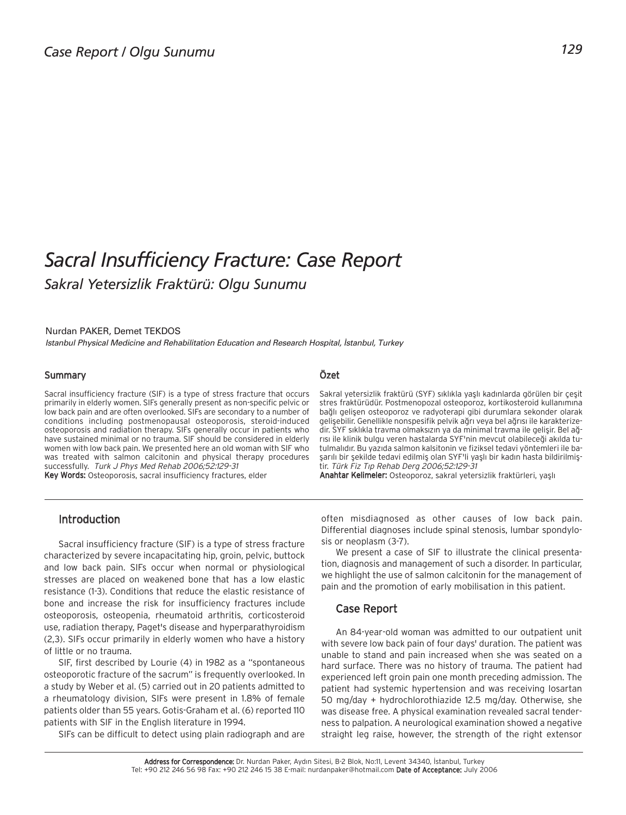# *Sacral Insufficiency Fracture: Case Report Sakral Yetersizlik Fraktürü: Olgu Sunumu*

#### Nurdan PAKER, Demet TEKDOS

*Istanbul Physical Medicine and Rehabilitation Education and Research Hospital, ‹stanbul, Turkey*

## **Summary**

Sacral insufficiency fracture (SIF) is a type of stress fracture that occurs primarily in elderly women. SIFs generally present as non-specific pelvic or low back pain and are often overlooked. SIFs are secondary to a number of conditions including postmenopausal osteoporosis, steroid-induced osteoporosis and radiation therapy. SIFs generally occur in patients who have sustained minimal or no trauma. SIF should be considered in elderly women with low back pain. We presented here an old woman with SIF who was treated with salmon calcitonin and physical therapy procedures successfully. Turk J Phys Med Rehab 2006;52:129-31

Key Words: Osteoporosis, sacral insufficiency fractures, elder

## Özet

Sakral yetersizlik fraktürü (SYF) sıklıkla yaşlı kadınlarda görülen bir çeşit stres fraktürüdür. Postmenopozal osteoporoz, kortikosteroid kullanımına bağlı gelişen osteoporoz ve radyoterapi gibi durumlara sekonder olarak gelişebilir. Genellikle nonspesifik pelvik ağrı veya bel ağrısı ile karakterizedir. SYF sıklıkla travma olmaksızın ya da minimal travma ile gelişir. Bel ağrısı ile klinik bulgu veren hastalarda SYF'nin mevcut olabileceği akılda tutulmalıdır. Bu yazıda salmon kalsitonin ve fiziksel tedavi yöntemleri ile başarılı bir şekilde tedavi edilmiş olan SYF'li yaşlı bir kadın hasta bildirilmiştir. Türk Fiz Tıp Rehab Derg 2006;52:129-31

Anahtar Kelimeler: Osteoporoz, sakral yetersizlik fraktürleri, yaşlı

# Introduction

Sacral insufficiency fracture (SIF) is a type of stress fracture characterized by severe incapacitating hip, groin, pelvic, buttock and low back pain. SIFs occur when normal or physiological stresses are placed on weakened bone that has a low elastic resistance (1-3). Conditions that reduce the elastic resistance of bone and increase the risk for insufficiency fractures include osteoporosis, osteopenia, rheumatoid arthritis, corticosteroid use, radiation therapy, Paget's disease and hyperparathyroidism (2,3). SIFs occur primarily in elderly women who have a history of little or no trauma.

SIF, first described by Lourie (4) in 1982 as a "spontaneous osteoporotic fracture of the sacrum" is frequently overlooked. In a study by Weber et al. (5) carried out in 20 patients admitted to a rheumatology division, SIFs were present in 1.8% of female patients older than 55 years. Gotis-Graham et al. (6) reported 110 patients with SIF in the English literature in 1994.

SIFs can be difficult to detect using plain radiograph and are

often misdiagnosed as other causes of low back pain. Differential diagnoses include spinal stenosis, lumbar spondylosis or neoplasm (3-7).

We present a case of SIF to illustrate the clinical presentation, diagnosis and management of such a disorder. In particular, we highlight the use of salmon calcitonin for the management of pain and the promotion of early mobilisation in this patient.

## Case Report

An 84-year-old woman was admitted to our outpatient unit with severe low back pain of four days' duration. The patient was unable to stand and pain increased when she was seated on a hard surface. There was no history of trauma. The patient had experienced left groin pain one month preceding admission. The patient had systemic hypertension and was receiving losartan 50 mg/day + hydrochlorothiazide 12.5 mg/day. Otherwise, she was disease free. A physical examination revealed sacral tenderness to palpation. A neurological examination showed a negative straight leg raise, however, the strength of the right extensor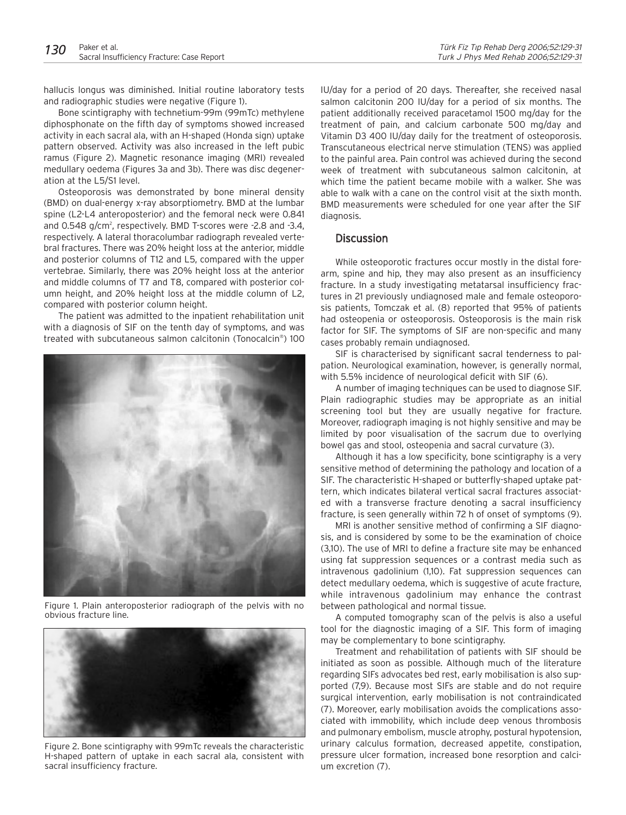hallucis longus was diminished. Initial routine laboratory tests and radiographic studies were negative (Figure 1).

Bone scintigraphy with technetium-99m (99mTc) methylene diphosphonate on the fifth day of symptoms showed increased activity in each sacral ala, with an H-shaped (Honda sign) uptake pattern observed. Activity was also increased in the left pubic ramus (Figure 2). Magnetic resonance imaging (MRI) revealed medullary oedema (Figures 3a and 3b). There was disc degeneration at the L5/S1 level.

Osteoporosis was demonstrated by bone mineral density (BMD) on dual-energy x-ray absorptiometry. BMD at the lumbar spine (L2-L4 anteroposterior) and the femoral neck were 0.841 and 0.548 g/cm<sup>2</sup>, respectively. BMD T-scores were -2.8 and -3.4, respectively. A lateral thoracolumbar radiograph revealed vertebral fractures. There was 20% height loss at the anterior, middle and posterior columns of T12 and L5, compared with the upper vertebrae. Similarly, there was 20% height loss at the anterior and middle columns of T7 and T8, compared with posterior column height, and 20% height loss at the middle column of L2, compared with posterior column height.

The patient was admitted to the inpatient rehabilitation unit with a diagnosis of SIF on the tenth day of symptoms, and was treated with subcutaneous salmon calcitonin (Tonocalcin®) 100



Figure 1. Plain anteroposterior radiograph of the pelvis with no obvious fracture line.



Figure 2. Bone scintigraphy with 99mTc reveals the characteristic H-shaped pattern of uptake in each sacral ala, consistent with sacral insufficiency fracture.

IU/day for a period of 20 days. Thereafter, she received nasal salmon calcitonin 200 IU/day for a period of six months. The patient additionally received paracetamol 1500 mg/day for the treatment of pain, and calcium carbonate 500 mg/day and Vitamin D3 400 IU/day daily for the treatment of osteoporosis. Transcutaneous electrical nerve stimulation (TENS) was applied to the painful area. Pain control was achieved during the second week of treatment with subcutaneous salmon calcitonin, at which time the patient became mobile with a walker. She was able to walk with a cane on the control visit at the sixth month. BMD measurements were scheduled for one year after the SIF diagnosis.

# **Discussion**

While osteoporotic fractures occur mostly in the distal forearm, spine and hip, they may also present as an insufficiency fracture. In a study investigating metatarsal insufficiency fractures in 21 previously undiagnosed male and female osteoporosis patients, Tomczak et al. (8) reported that 95% of patients had osteopenia or osteoporosis. Osteoporosis is the main risk factor for SIF. The symptoms of SIF are non-specific and many cases probably remain undiagnosed.

SIF is characterised by significant sacral tenderness to palpation. Neurological examination, however, is generally normal, with 5.5% incidence of neurological deficit with SIF (6).

A number of imaging techniques can be used to diagnose SIF. Plain radiographic studies may be appropriate as an initial screening tool but they are usually negative for fracture. Moreover, radiograph imaging is not highly sensitive and may be limited by poor visualisation of the sacrum due to overlying bowel gas and stool, osteopenia and sacral curvature (3).

Although it has a low specificity, bone scintigraphy is a very sensitive method of determining the pathology and location of a SIF. The characteristic H-shaped or butterfly-shaped uptake pattern, which indicates bilateral vertical sacral fractures associated with a transverse fracture denoting a sacral insufficiency fracture, is seen generally within 72 h of onset of symptoms (9).

MRI is another sensitive method of confirming a SIF diagnosis, and is considered by some to be the examination of choice (3,10). The use of MRI to define a fracture site may be enhanced using fat suppression sequences or a contrast media such as intravenous gadolinium (1,10). Fat suppression sequences can detect medullary oedema, which is suggestive of acute fracture, while intravenous gadolinium may enhance the contrast between pathological and normal tissue.

A computed tomography scan of the pelvis is also a useful tool for the diagnostic imaging of a SIF. This form of imaging may be complementary to bone scintigraphy.

Treatment and rehabilitation of patients with SIF should be initiated as soon as possible. Although much of the literature regarding SIFs advocates bed rest, early mobilisation is also supported (7,9). Because most SIFs are stable and do not require surgical intervention, early mobilisation is not contraindicated (7). Moreover, early mobilisation avoids the complications associated with immobility, which include deep venous thrombosis and pulmonary embolism, muscle atrophy, postural hypotension, urinary calculus formation, decreased appetite, constipation, pressure ulcer formation, increased bone resorption and calcium excretion (7).